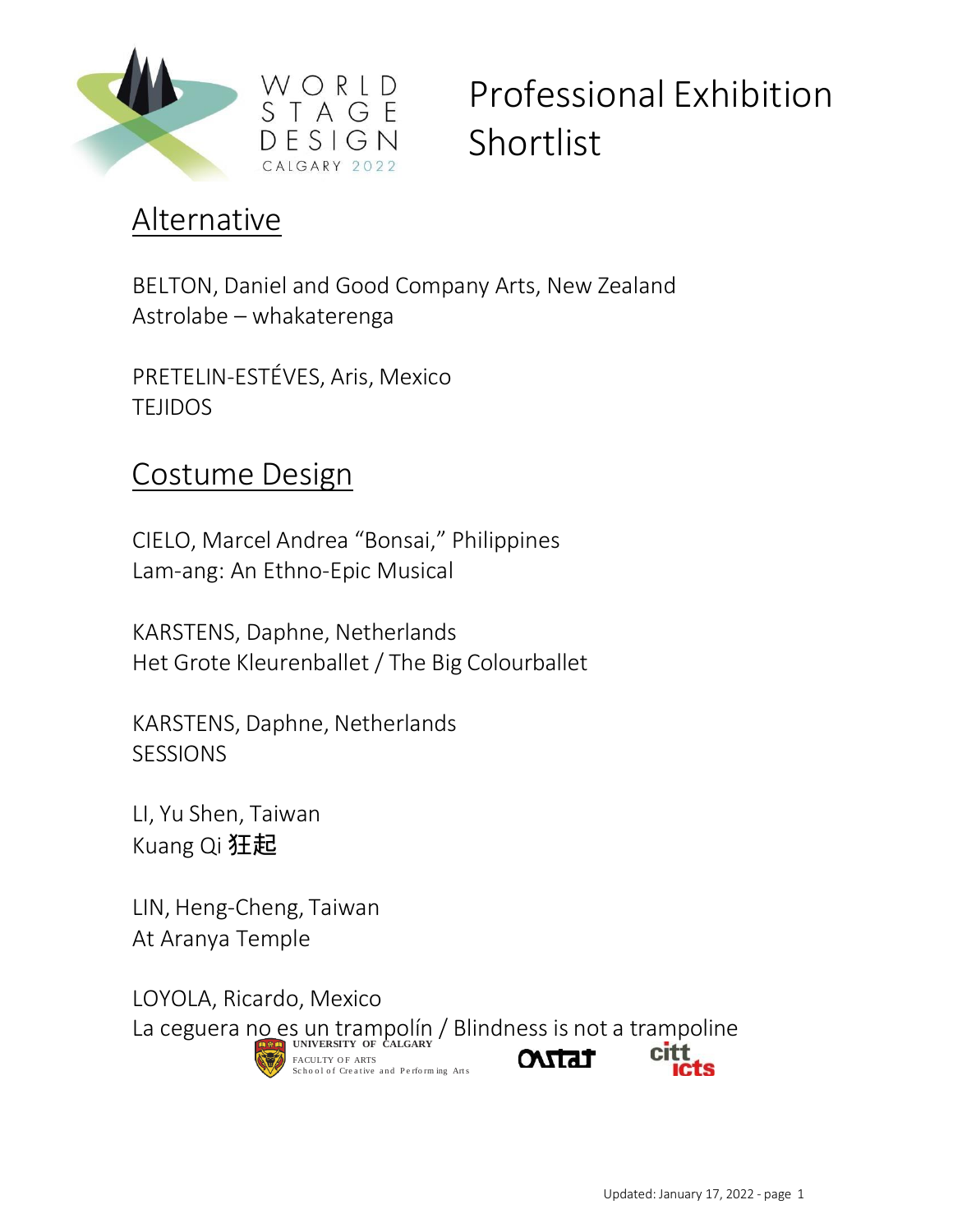

#### Alternative

BELTON, Daniel and Good Company Arts, New Zealand Astrolabe – whakaterenga

PRETELIN-ESTÉVES, Aris, Mexico TEJIDOS

#### Costume Design

CIELO, Marcel Andrea "Bonsai," Philippines Lam-ang: An Ethno-Epic Musical

KARSTENS, Daphne, Netherlands Het Grote Kleurenballet / The Big Colourballet

KARSTENS, Daphne, Netherlands **SESSIONS** 

LI, Yu Shen, Taiwan Kuang Qi 狂起

LIN, Heng-Cheng, Taiwan At Aranya Temple

LOYOLA, Ricardo, Mexico La ceguera no es un trampolín / Blindness is not a trampoline **ONTAT** FACULTY OF ARTS School of Creative and Performing Arts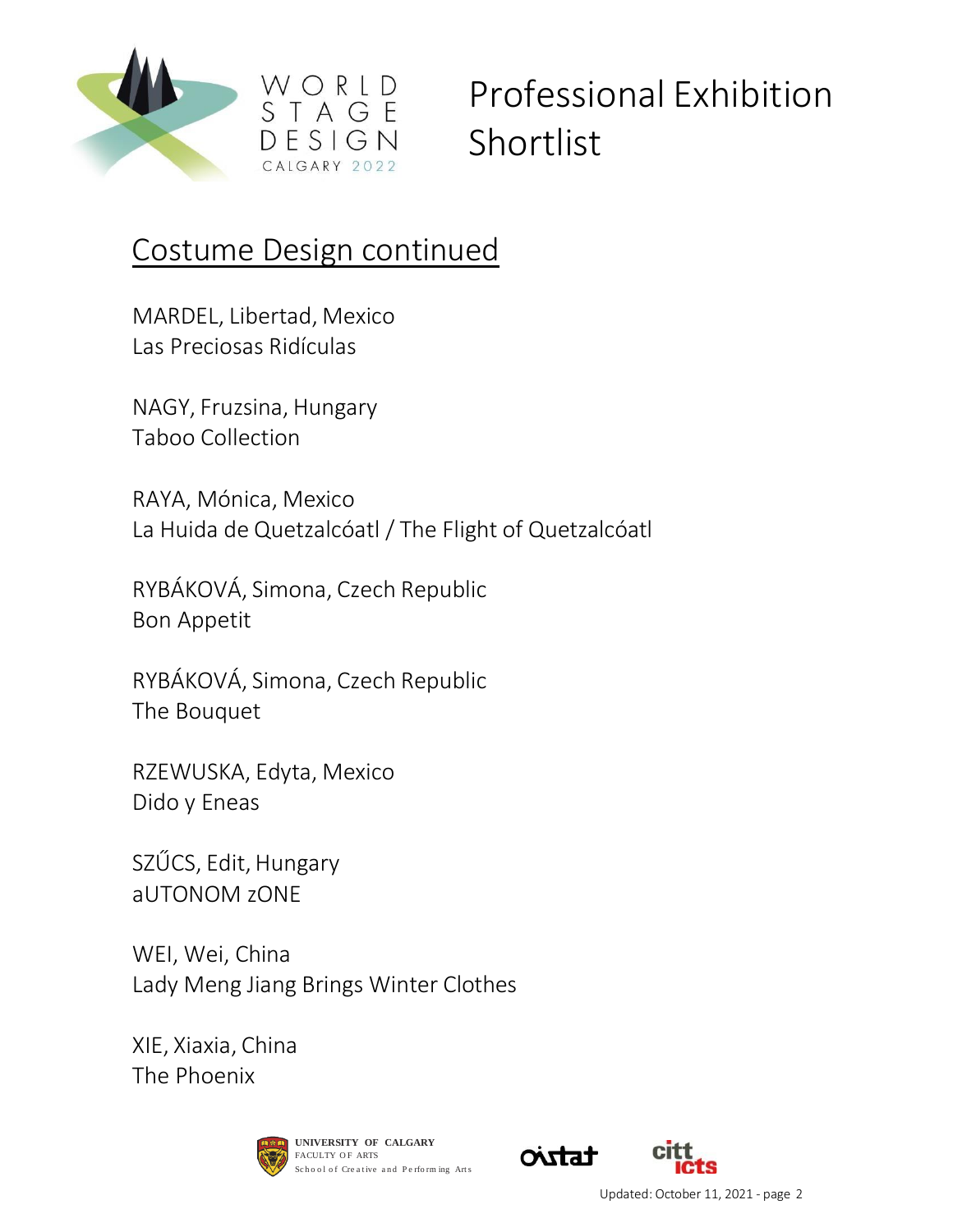

#### Costume Design continued

 $FSIGN$ 

MARDEL, Libertad, Mexico Las Preciosas Ridículas

NAGY, Fruzsina, Hungary Taboo Collection

RAYA, Mónica, Mexico La Huida de Quetzalcóatl / The Flight of Quetzalcóatl

RYBÁKOVÁ, Simona, Czech Republic Bon Appetit

RYBÁKOVÁ, Simona, Czech Republic The Bouquet

RZEWUSKA, Edyta, Mexico Dido y Eneas

SZŰCS, Edit, Hungary aUTONOM zONE

WEI, Wei, China Lady Meng Jiang Brings Winter Clothes

XIE, Xiaxia, China The Phoenix





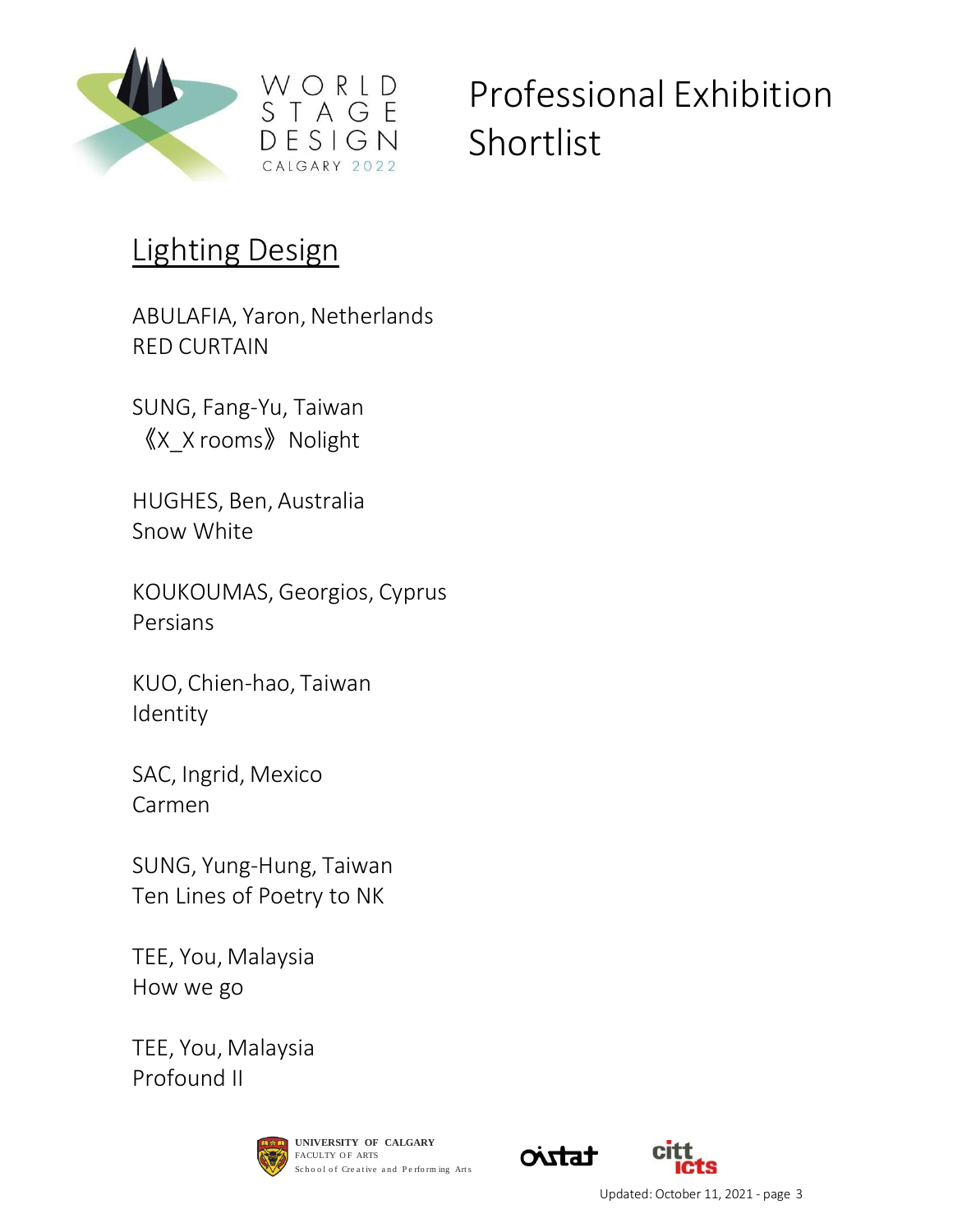

#### Lighting Design

ABULAFIA, Yaron, Netherlands RED CURTAIN

SUNG, Fang-Yu, Taiwan 《X\_X rooms》Nolight

HUGHES, Ben, Australia Snow White

KOUKOUMAS, Georgios, Cyprus Persians

KUO, Chien-hao, Taiwan Identity

SAC, Ingrid, Mexico Carmen

SUNG, Yung-Hung, Taiwan Ten Lines of Poetry to NK

TEE, You, Malaysia How we go

TEE, You, Malaysia Profound II





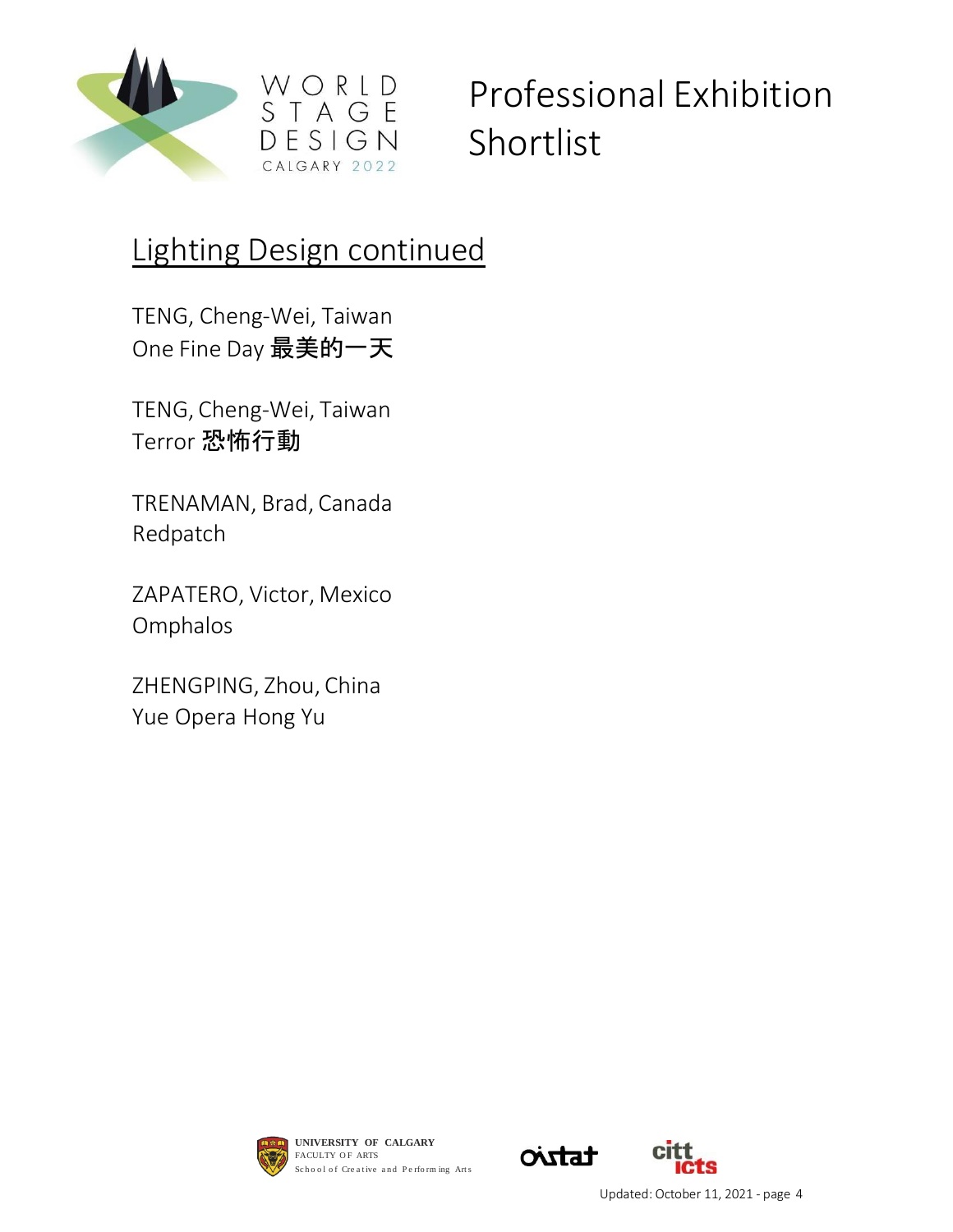

### Lighting Design continued

WORLD<br>STAGE

 $D E S I G N$ CALGARY 2022

TENG, Cheng-Wei, Taiwan One Fine Day 最美的一天

TENG, Cheng-Wei, Taiwan Terror 恐怖行動

TRENAMAN, Brad, Canada Redpatch

ZAPATERO, Victor, Mexico Omphalos

ZHENGPING, Zhou, China Yue Opera Hong Yu



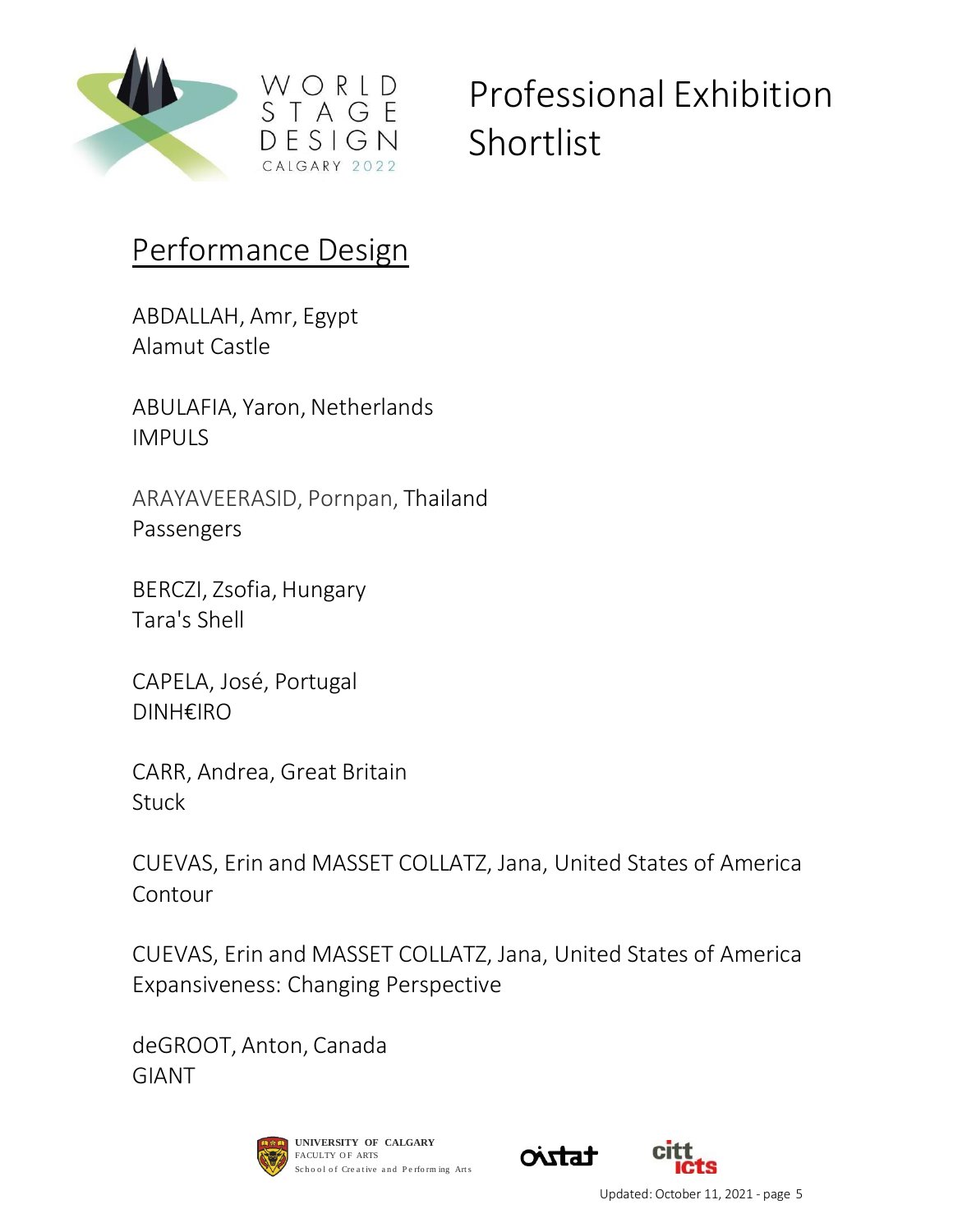

#### Performance Design

ABDALLAH, Amr, Egypt Alamut Castle

ABULAFIA, Yaron, Netherlands IMPULS

ARAYAVEERASID, Pornpan, Thailand Passengers

BERCZI, Zsofia, Hungary Tara's Shell

CAPELA, José, Portugal DINH€IRO

CARR, Andrea, Great Britain **Stuck** 

CUEVAS, Erin and MASSET COLLATZ, Jana, United States of America Contour

CUEVAS, Erin and MASSET COLLATZ, Jana, United States of America Expansiveness: Changing Perspective

deGROOT, Anton, Canada GIANT





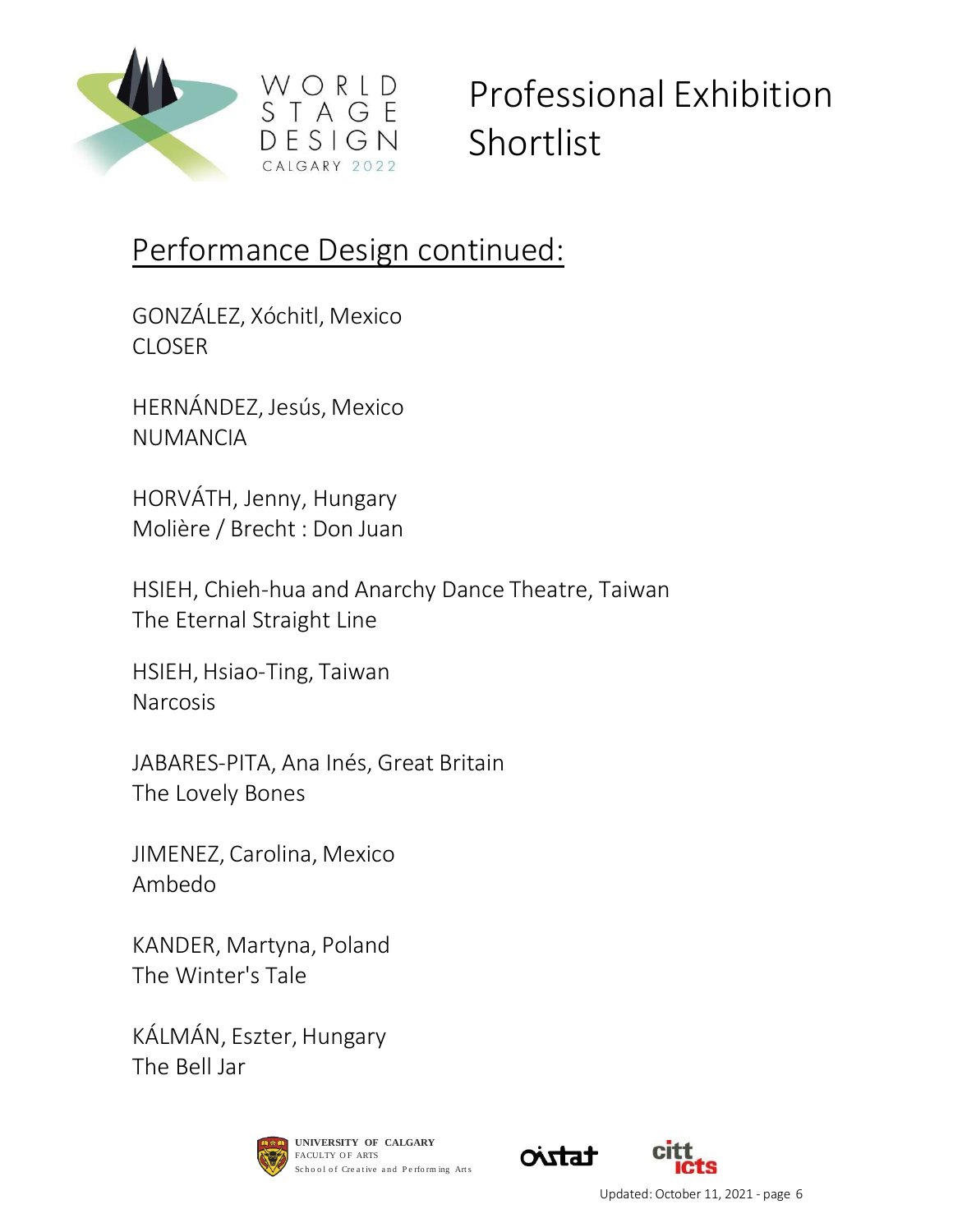

### Performance Design continued:

GONZÁLEZ, Xóchitl, Mexico CLOSER

HERNÁNDEZ, Jesús, Mexico NUMANCIA

HORVÁTH, Jenny, Hungary Molière / Brecht : Don Juan

HSIEH, Chieh-hua and Anarchy Dance Theatre, Taiwan The Eternal Straight Line

HSIEH, Hsiao-Ting, Taiwan Narcosis

JABARES-PITA, Ana Inés, Great Britain The Lovely Bones

JIMENEZ, Carolina, Mexico Ambedo

KANDER, Martyna, Poland The Winter's Tale

KÁLMÁN, Eszter, Hungary The Bell Jar



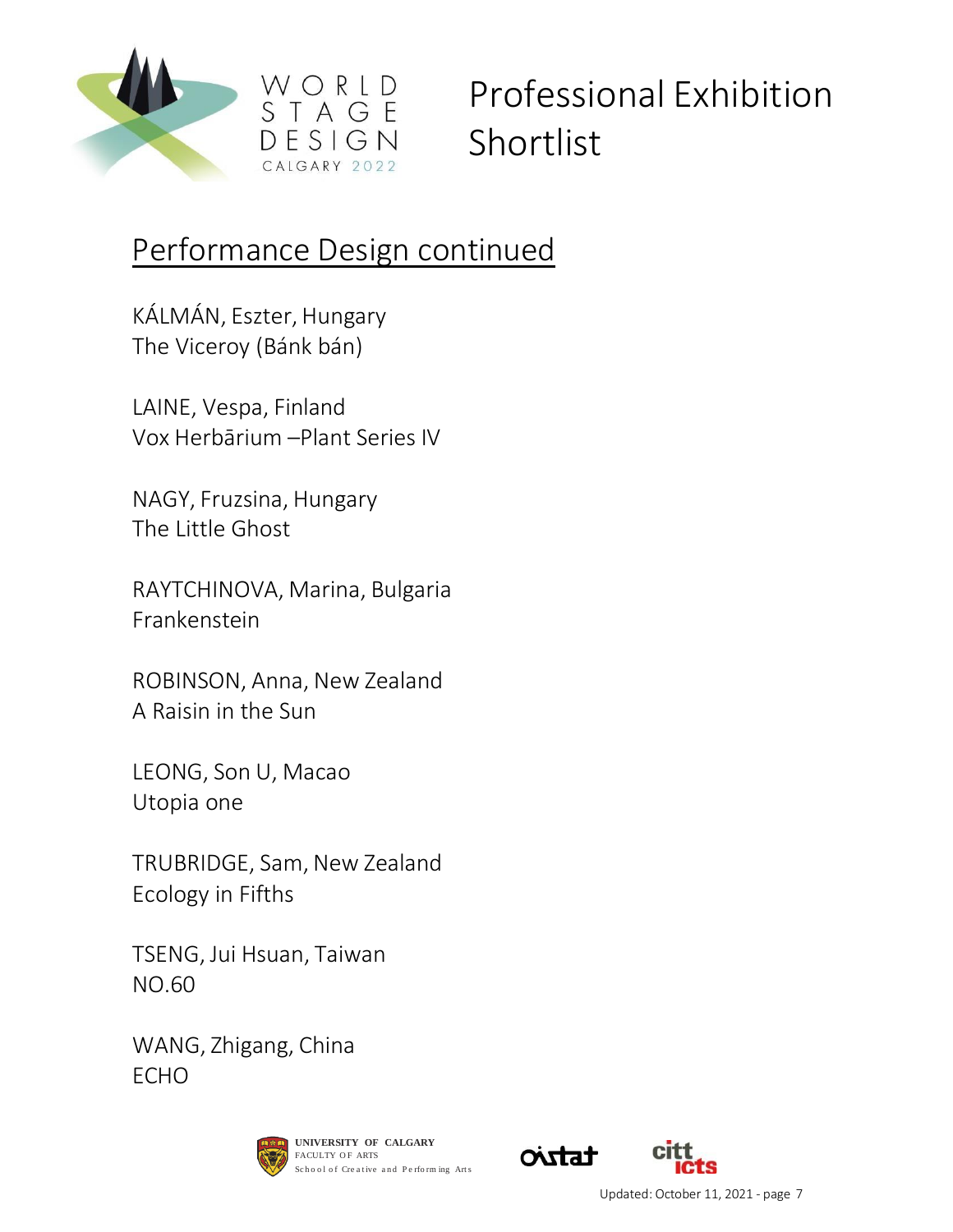

### Performance Design continued

KÁLMÁN, Eszter, Hungary The Viceroy (Bánk bán)

LAINE, Vespa, Finland Vox Herbārium –Plant Series IV

NAGY, Fruzsina, Hungary The Little Ghost

RAYTCHINOVA, Marina, Bulgaria Frankenstein

ROBINSON, Anna, New Zealand A Raisin in the Sun

LEONG, Son U, Macao Utopia one

TRUBRIDGE, Sam, New Zealand Ecology in Fifths

TSENG, Jui Hsuan, Taiwan NO.60

WANG, Zhigang, China ECHO



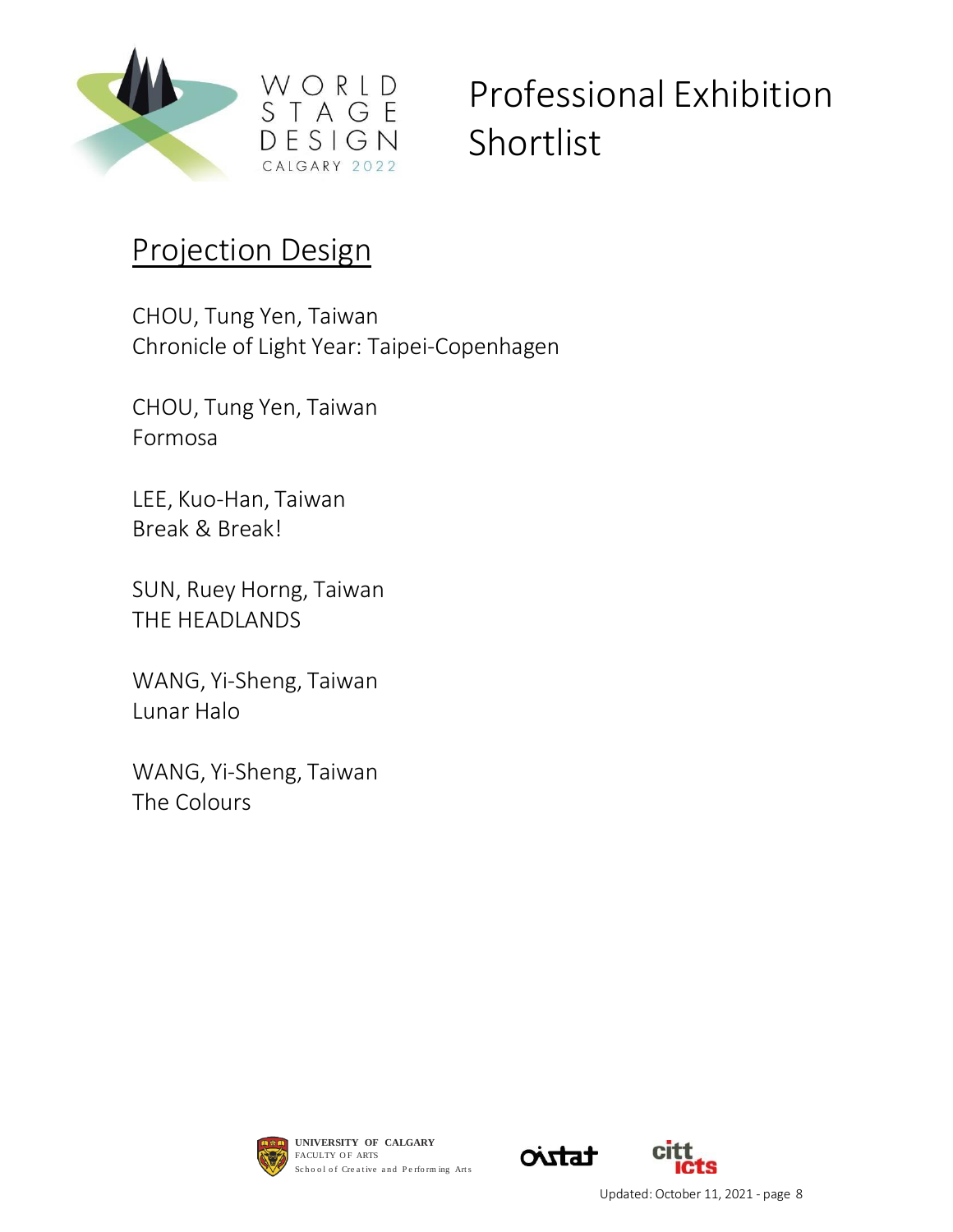

#### Projection Design

CHOU, Tung Yen, Taiwan Chronicle of Light Year: Taipei-Copenhagen

CHOU, Tung Yen, Taiwan Formosa

LEE, Kuo-Han, Taiwan Break & Break!

SUN, Ruey Horng, Taiwan THE HEADLANDS

WANG, Yi-Sheng, Taiwan Lunar Halo

WANG, Yi-Sheng, Taiwan The Colours



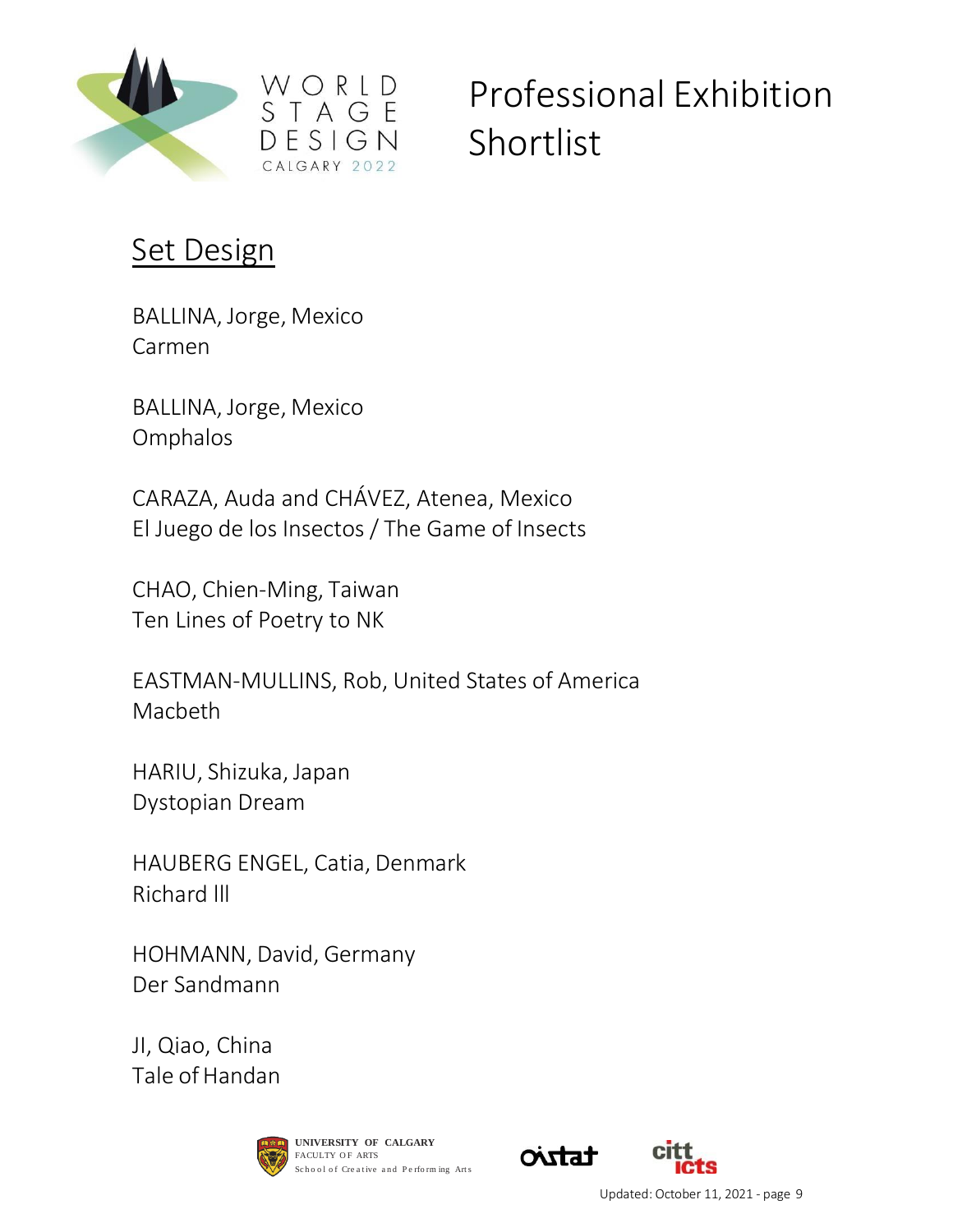

#### **Set Design**

BALLINA, Jorge, Mexico Carmen

BALLINA, Jorge, Mexico Omphalos

CARAZA, Auda and CHÁVEZ, Atenea, Mexico El Juego de los Insectos / The Game of Insects

CALGARY 2022

CHAO, Chien-Ming, Taiwan Ten Lines of Poetry to NK

EASTMAN-MULLINS, Rob, United States of America Macbeth

HARIU, Shizuka, Japan Dystopian Dream

HAUBERG ENGEL, Catia, Denmark Richard lll

HOHMANN, David, Germany Der Sandmann

JI, Qiao, China Tale of Handan





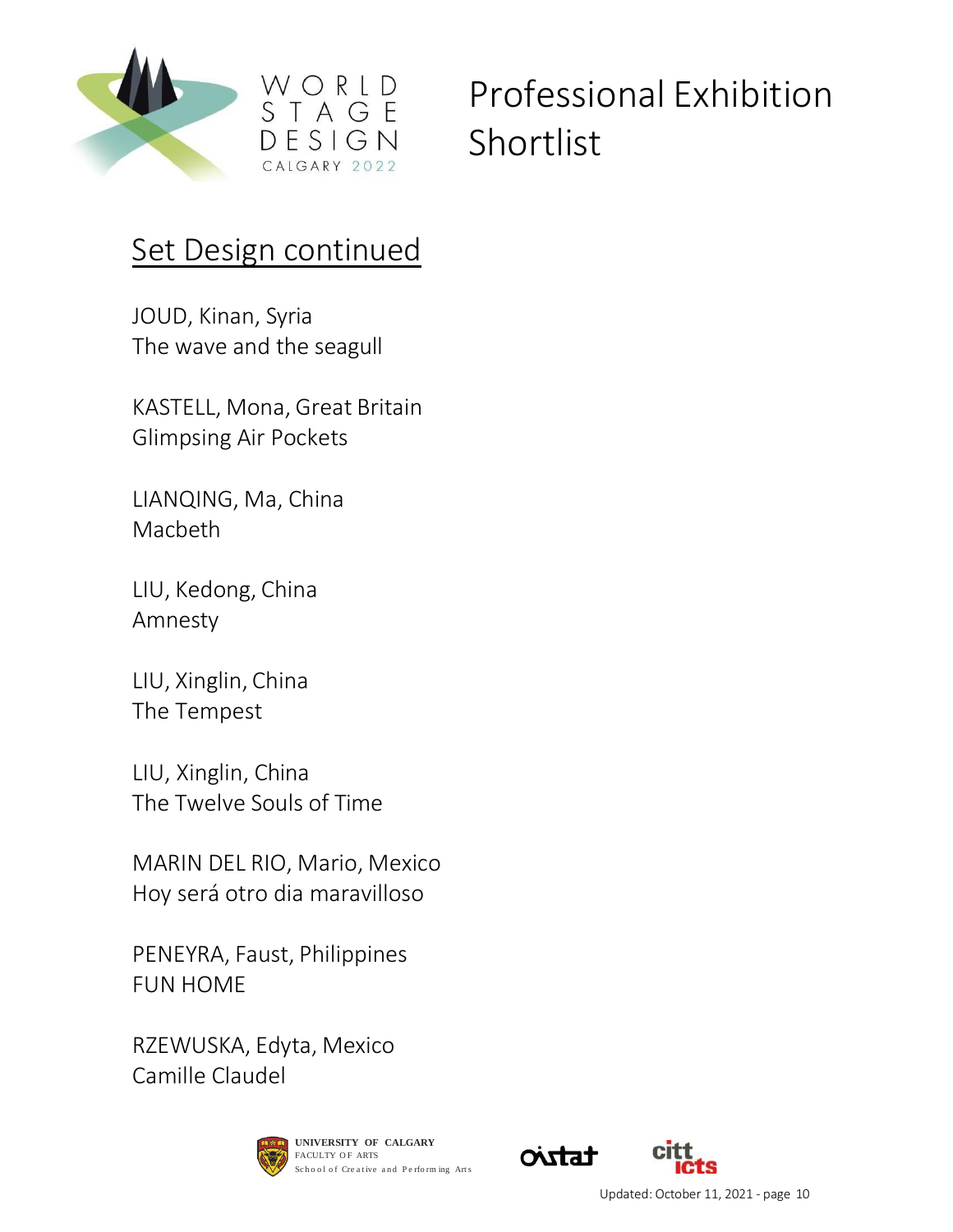

#### Set Design continued

WORLD

 $ESIGN$ CALGARY 2022

JOUD, Kinan, Syria The wave and the seagull

KASTELL, Mona, Great Britain Glimpsing Air Pockets

LIANQING, Ma, China Macbeth

LIU, Kedong, China Amnesty

LIU, Xinglin, China The Tempest

LIU, Xinglin, China The Twelve Souls of Time

MARIN DEL RIO, Mario, Mexico Hoy será otro dia maravilloso

PENEYRA, Faust, Philippines FUN HOME

RZEWUSKA, Edyta, Mexico Camille Claudel





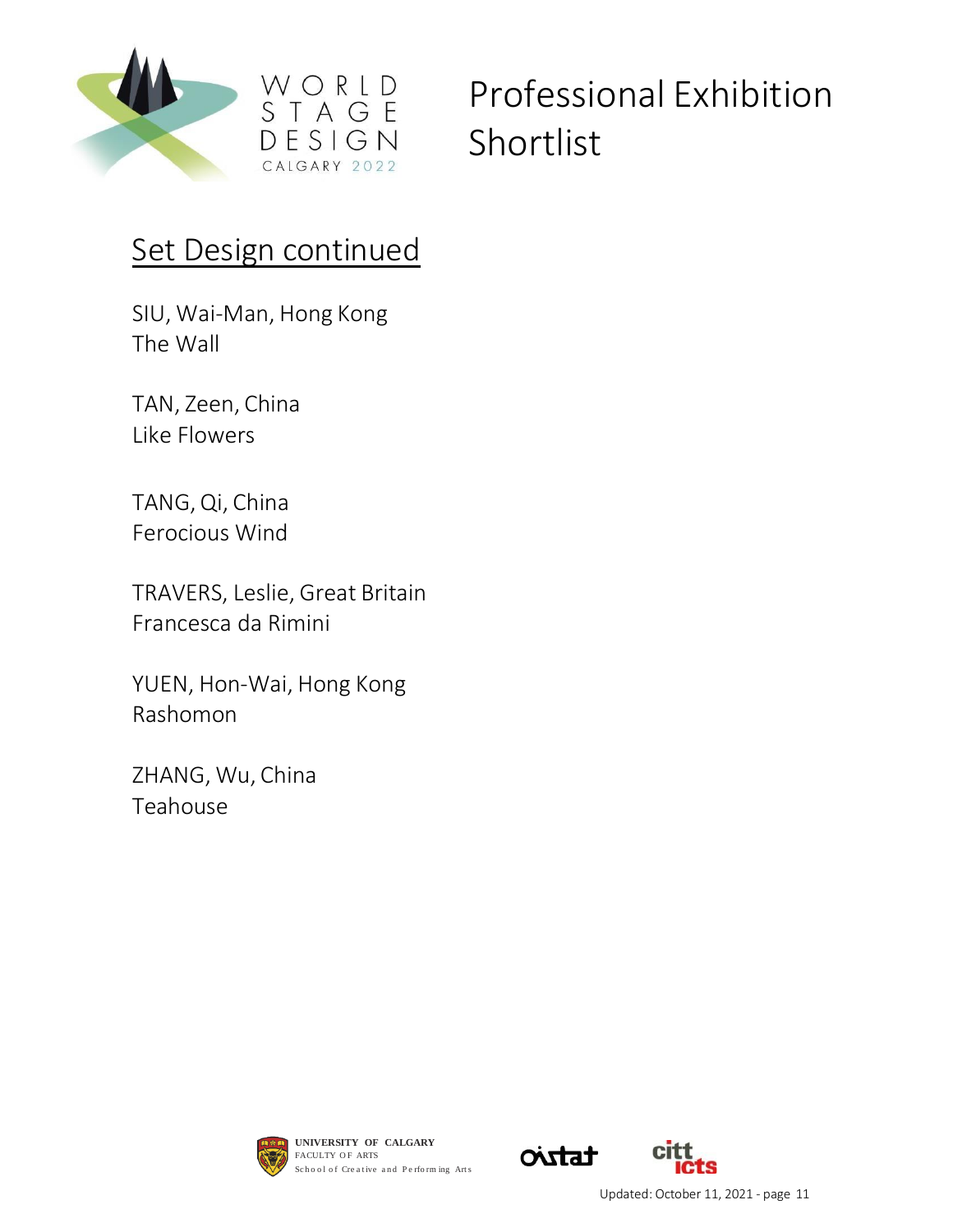

#### Set Design continued

SIU, Wai-Man, Hong Kong The Wall

TAN, Zeen, China Like Flowers

TANG, Qi, China Ferocious Wind

TRAVERS, Leslie, Great Britain Francesca da Rimini

YUEN, Hon-Wai, Hong Kong Rashomon

ZHANG, Wu, China Teahouse



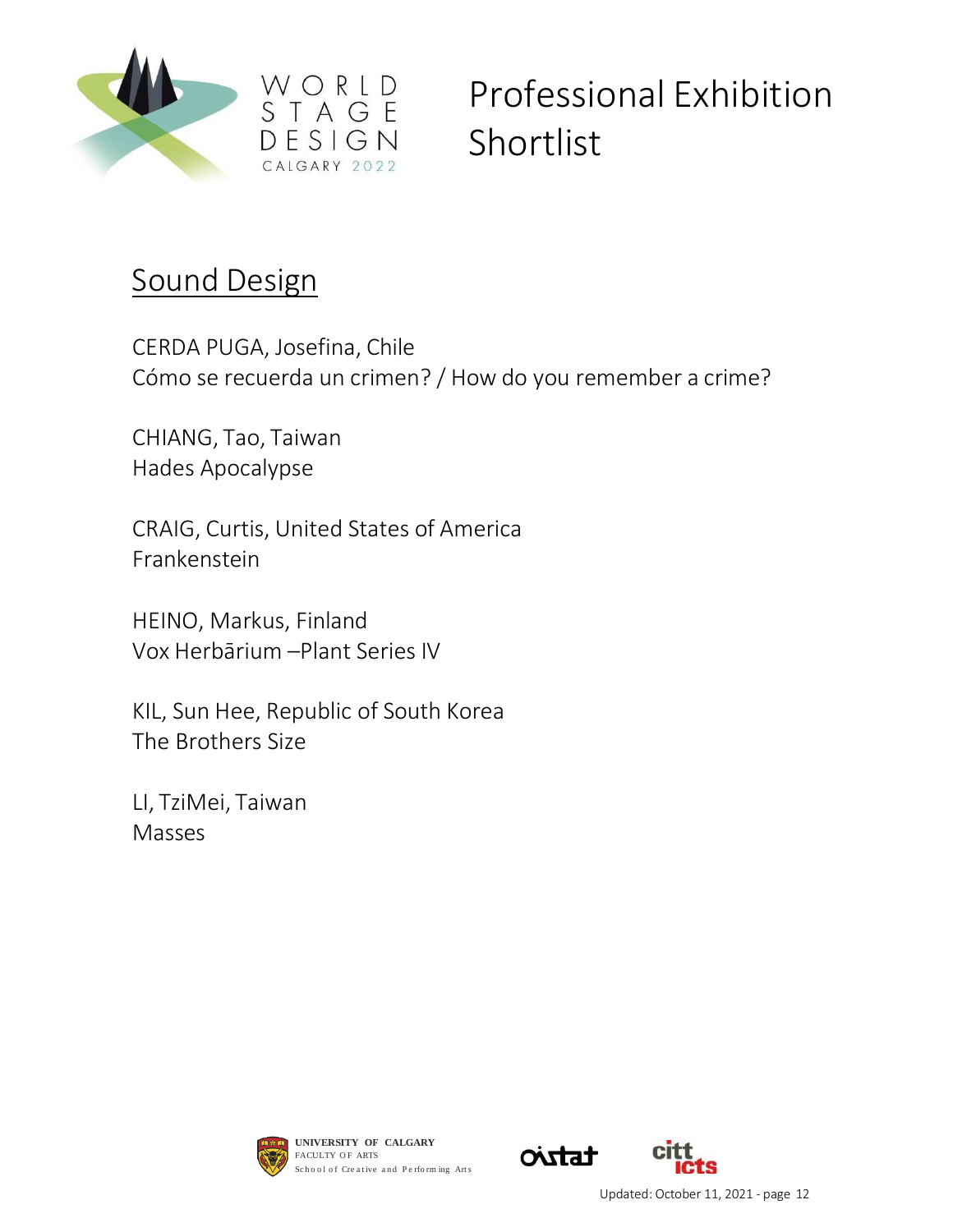

#### Sound Design

CERDA PUGA, Josefina, Chile Cómo se recuerda un crimen? / How do you remember a crime?

CHIANG, Tao, Taiwan Hades Apocalypse

CRAIG, Curtis, United States of America Frankenstein

HEINO, Markus, Finland Vox Herbārium –Plant Series IV

KIL, Sun Hee, Republic of South Korea The Brothers Size

LI, TziMei, Taiwan Masses